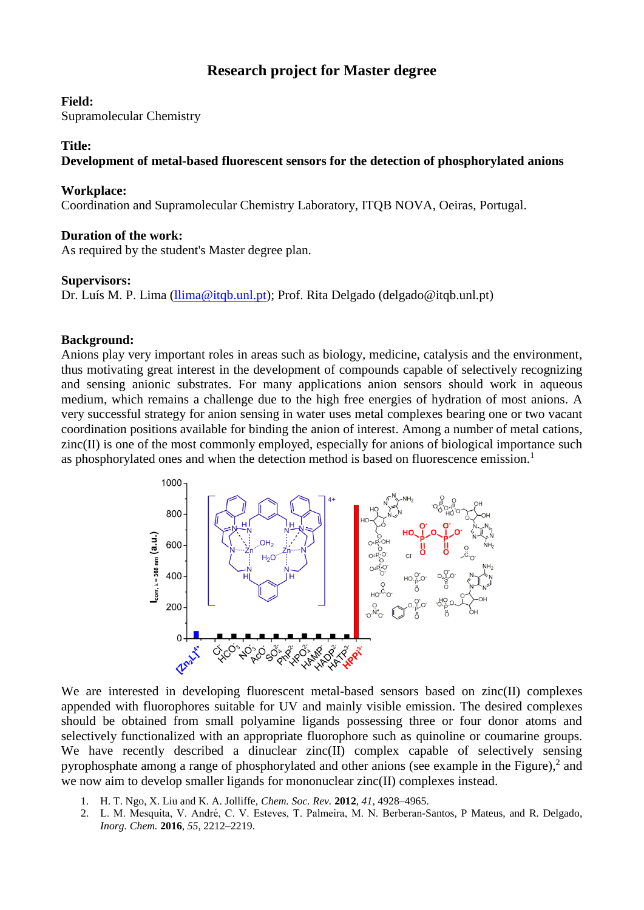# **Research project for Master degree**

#### **Field:**

Supramolecular Chemistry

## **Title:**

# **Development of metal-based fluorescent sensors for the detection of phosphorylated anions**

## **Workplace:**

Coordination and Supramolecular Chemistry Laboratory, ITQB NOVA, Oeiras, Portugal.

# **Duration of the work:**

As required by the student's Master degree plan.

#### **Supervisors:**

Dr. Luís M. P. Lima [\(llima@itqb.unl.pt\)](mailto:llima@itqb.unl.pt); Prof. Rita Delgado (delgado@itqb.unl.pt)

# **Background:**

Anions play very important roles in areas such as biology, medicine, catalysis and the environment, thus motivating great interest in the development of compounds capable of selectively recognizing and sensing anionic substrates. For many applications anion sensors should work in aqueous medium, which remains a challenge due to the high free energies of hydration of most anions. A very successful strategy for anion sensing in water uses metal complexes bearing one or two vacant coordination positions available for binding the anion of interest. Among a number of metal cations, zinc(II) is one of the most commonly employed, especially for anions of biological importance such as phosphorylated ones and when the detection method is based on fluorescence emission.<sup>1</sup>



We are interested in developing fluorescent metal-based sensors based on zinc(II) complexes appended with fluorophores suitable for UV and mainly visible emission. The desired complexes should be obtained from small polyamine ligands possessing three or four donor atoms and selectively functionalized with an appropriate fluorophore such as quinoline or coumarine groups. We have recently described a dinuclear zinc(II) complex capable of selectively sensing pyrophosphate among a range of phosphorylated and other anions (see example in the Figure),<sup>2</sup> and we now aim to develop smaller ligands for mononuclear zinc(II) complexes instead.

- 1. H. T. Ngo, X. Liu and K. A. Jolliffe, *Chem. Soc. Rev.* **2012**, *41*, 4928–4965.
- 2. L. M. Mesquita, V. André, C. V. Esteves, T. Palmeira, M. N. Berberan-Santos, P Mateus, and R. Delgado, *Inorg. Chem.* **2016**, *55*, 2212–2219.